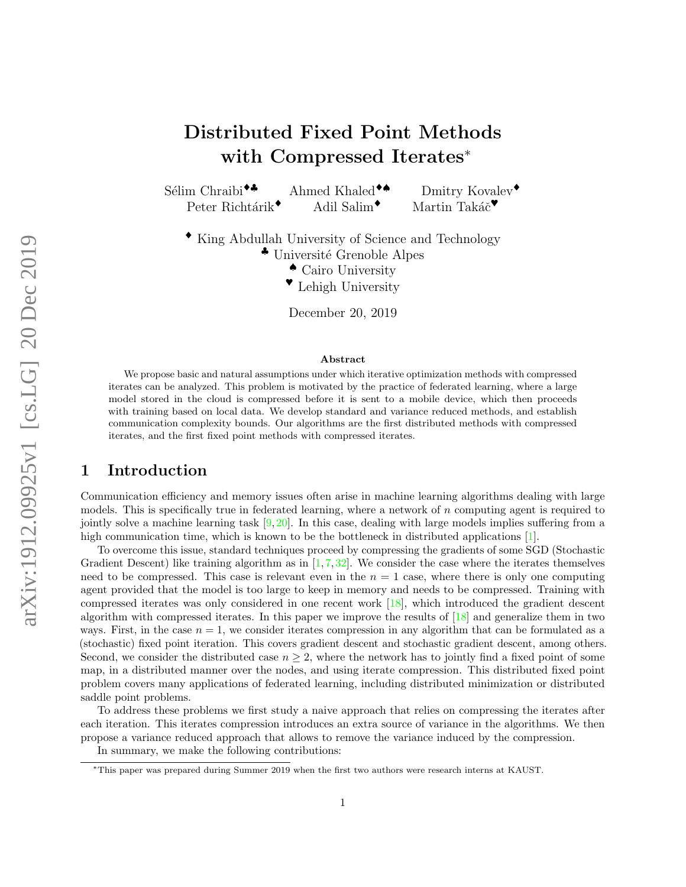# Distributed Fixed Point Methods with Compressed Iterates<sup>∗</sup>

Sélim Chraibi<sup>◆♣</sup> Ahmed Khaled<sup>◆♠</sup> Dmitry Kovalev<sup>◆</sup>

Peter Richtárik<sup>◆</sup> Adil Salim<sup>◆</sup> Martin Takáč<sup>◆</sup>

♦ King Abdullah University of Science and Technology

<sup>◆</sup> Université Grenoble Alpes

- ♠ Cairo University
- ♥ Lehigh University

December 20, 2019

#### Abstract

We propose basic and natural assumptions under which iterative optimization methods with compressed iterates can be analyzed. This problem is motivated by the practice of federated learning, where a large model stored in the cloud is compressed before it is sent to a mobile device, which then proceeds with training based on local data. We develop standard and variance reduced methods, and establish communication complexity bounds. Our algorithms are the first distributed methods with compressed iterates, and the first fixed point methods with compressed iterates.

## 1 Introduction

Communication efficiency and memory issues often arise in machine learning algorithms dealing with large models. This is specifically true in federated learning, where a network of  $n$  computing agent is required to jointly solve a machine learning task  $[9, 20]$  $[9, 20]$  $[9, 20]$ . In this case, dealing with large models implies suffering from a high communication time, which is known to be the bottleneck in distributed applications [\[1\]](#page-9-1).

To overcome this issue, standard techniques proceed by compressing the gradients of some SGD (Stochastic Gradient Descent) like training algorithm as in  $[1, 7, 32]$  $[1, 7, 32]$  $[1, 7, 32]$  $[1, 7, 32]$  $[1, 7, 32]$ . We consider the case where the iterates themselves need to be compressed. This case is relevant even in the  $n = 1$  case, where there is only one computing agent provided that the model is too large to keep in memory and needs to be compressed. Training with compressed iterates was only considered in one recent work [\[18\]](#page-9-3), which introduced the gradient descent algorithm with compressed iterates. In this paper we improve the results of [\[18\]](#page-9-3) and generalize them in two ways. First, in the case  $n = 1$ , we consider iterates compression in any algorithm that can be formulated as a (stochastic) fixed point iteration. This covers gradient descent and stochastic gradient descent, among others. Second, we consider the distributed case  $n \geq 2$ , where the network has to jointly find a fixed point of some map, in a distributed manner over the nodes, and using iterate compression. This distributed fixed point problem covers many applications of federated learning, including distributed minimization or distributed saddle point problems.

To address these problems we first study a naive approach that relies on compressing the iterates after each iteration. This iterates compression introduces an extra source of variance in the algorithms. We then propose a variance reduced approach that allows to remove the variance induced by the compression.

In summary, we make the following contributions:

<sup>∗</sup>This paper was prepared during Summer 2019 when the first two authors were research interns at KAUST.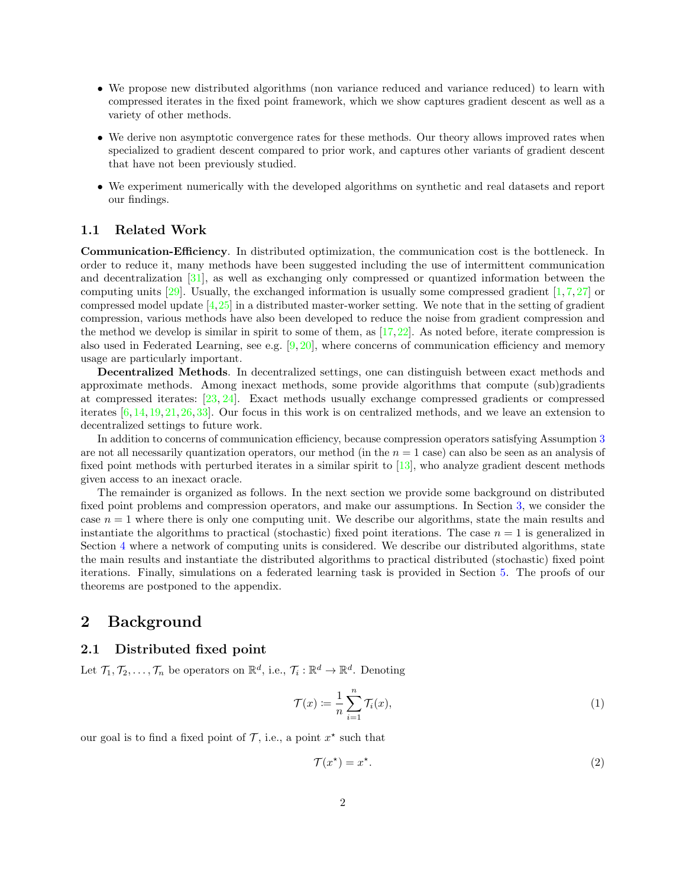- We propose new distributed algorithms (non variance reduced and variance reduced) to learn with compressed iterates in the fixed point framework, which we show captures gradient descent as well as a variety of other methods.
- We derive non asymptotic convergence rates for these methods. Our theory allows improved rates when specialized to gradient descent compared to prior work, and captures other variants of gradient descent that have not been previously studied.
- We experiment numerically with the developed algorithms on synthetic and real datasets and report our findings.

#### 1.1 Related Work

Communication-Efficiency. In distributed optimization, the communication cost is the bottleneck. In order to reduce it, many methods have been suggested including the use of intermittent communication and decentralization [\[31\]](#page-10-2), as well as exchanging only compressed or quantized information between the computing units  $[29]$ . Usually, the exchanged information is usually some compressed gradient  $[1, 7, 27]$  $[1, 7, 27]$  $[1, 7, 27]$  $[1, 7, 27]$  $[1, 7, 27]$  or compressed model update [\[4,](#page-9-4)[25\]](#page-10-5) in a distributed master-worker setting. We note that in the setting of gradient compression, various methods have also been developed to reduce the noise from gradient compression and the method we develop is similar in spirit to some of them, as [\[17,](#page-9-5)[22\]](#page-10-6). As noted before, iterate compression is also used in Federated Learning, see e.g.  $[9, 20]$  $[9, 20]$  $[9, 20]$ , where concerns of communication efficiency and memory usage are particularly important.

Decentralized Methods. In decentralized settings, one can distinguish between exact methods and approximate methods. Among inexact methods, some provide algorithms that compute (sub)gradients at compressed iterates: [\[23,](#page-10-7) [24\]](#page-10-8). Exact methods usually exchange compressed gradients or compressed iterates [\[6,](#page-9-6) [14,](#page-9-7) [19,](#page-10-9) [21,](#page-10-10) [26,](#page-10-11) [33\]](#page-10-12). Our focus in this work is on centralized methods, and we leave an extension to decentralized settings to future work.

In addition to concerns of communication efficiency, because compression operators satisfying Assumption [3](#page-2-0) are not all necessarily quantization operators, our method (in the  $n = 1$  case) can also be seen as an analysis of fixed point methods with perturbed iterates in a similar spirit to [\[13\]](#page-9-8), who analyze gradient descent methods given access to an inexact oracle.

The remainder is organized as follows. In the next section we provide some background on distributed fixed point problems and compression operators, and make our assumptions. In Section [3,](#page-3-0) we consider the case  $n = 1$  where there is only one computing unit. We describe our algorithms, state the main results and instantiate the algorithms to practical (stochastic) fixed point iterations. The case  $n = 1$  is generalized in Section [4](#page-5-0) where a network of computing units is considered. We describe our distributed algorithms, state the main results and instantiate the distributed algorithms to practical distributed (stochastic) fixed point iterations. Finally, simulations on a federated learning task is provided in Section [5.](#page-7-0) The proofs of our theorems are postponed to the appendix.

## 2 Background

#### 2.1 Distributed fixed point

Let  $\mathcal{T}_1, \mathcal{T}_2, \ldots, \mathcal{T}_n$  be operators on  $\mathbb{R}^d$ , i.e.,  $\mathcal{T}_i : \mathbb{R}^d \to \mathbb{R}^d$ . Denoting

<span id="page-1-1"></span>
$$
\mathcal{T}(x) := \frac{1}{n} \sum_{i=1}^{n} \mathcal{T}_i(x),\tag{1}
$$

our goal is to find a fixed point of  $\mathcal{T}$ , i.e., a point  $x^*$  such that

<span id="page-1-0"></span>
$$
\mathcal{T}(x^*) = x^*.\tag{2}
$$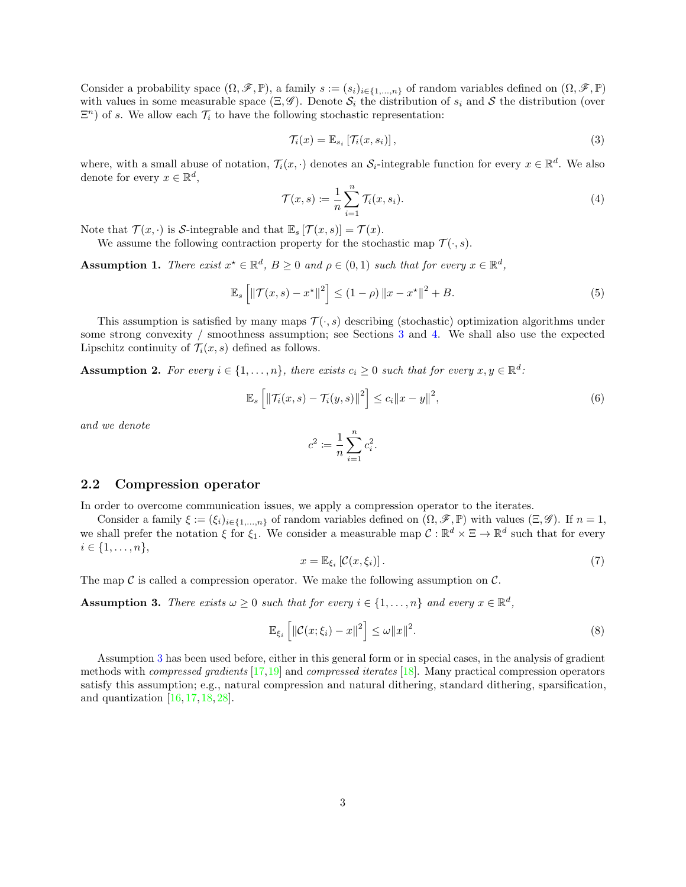Consider a probability space  $(\Omega, \mathscr{F}, \mathbb{P})$ , a family  $s := (s_i)_{i \in \{1,...,n\}}$  of random variables defined on  $(\Omega, \mathscr{F}, \mathbb{P})$ with values in some measurable space  $(\Xi, \mathscr{G})$ . Denote  $\mathcal{S}_i$  the distribution of  $s_i$  and S the distribution (over  $\Xi<sup>n</sup>$ ) of s. We allow each  $\mathcal{T}_i$  to have the following stochastic representation:

$$
\mathcal{T}_i(x) = \mathbb{E}_{s_i} \left[ \mathcal{T}_i(x, s_i) \right],\tag{3}
$$

where, with a small abuse of notation,  $\mathcal{T}_i(x, \cdot)$  denotes an  $\mathcal{S}_i$ -integrable function for every  $x \in \mathbb{R}^d$ . We also denote for every  $x \in \mathbb{R}^d$ ,

<span id="page-2-4"></span>
$$
\mathcal{T}(x,s) := \frac{1}{n} \sum_{i=1}^{n} \mathcal{T}_i(x,s_i). \tag{4}
$$

Note that  $\mathcal{T}(x, \cdot)$  is S-integrable and that  $\mathbb{E}_s[\mathcal{T}(x, s)] = \mathcal{T}(x)$ .

We assume the following contraction property for the stochastic map  $\mathcal{T}(\cdot, s)$ .

<span id="page-2-1"></span>**Assumption 1.** There exist  $x^* \in \mathbb{R}^d$ ,  $B \ge 0$  and  $\rho \in (0,1)$  such that for every  $x \in \mathbb{R}^d$ ,

$$
\mathbb{E}_{s}\left[\left\|\mathcal{T}(x,s)-x^{\star}\right\|^{2}\right] \leq (1-\rho)\left\|x-x^{\star}\right\|^{2} + B. \tag{5}
$$

This assumption is satisfied by many maps  $\mathcal{T}(\cdot,s)$  describing (stochastic) optimization algorithms under some strong convexity / smoothness assumption; see Sections [3](#page-3-0) and [4.](#page-5-0) We shall also use the expected Lipschitz continuity of  $\mathcal{T}_i(x, s)$  defined as follows.

<span id="page-2-2"></span>**Assumption 2.** For every  $i \in \{1, ..., n\}$ , there exists  $c_i \geq 0$  such that for every  $x, y \in \mathbb{R}^d$ .

$$
\mathbb{E}_s\left[\left\|\mathcal{T}_i(x,s)-\mathcal{T}_i(y,s)\right\|^2\right] \leq c_i\|x-y\|^2,\tag{6}
$$

and we denote

<span id="page-2-3"></span>
$$
c^2 := \frac{1}{n} \sum_{i=1}^n c_i^2.
$$

#### 2.2 Compression operator

In order to overcome communication issues, we apply a compression operator to the iterates.

Consider a family  $\xi := (\xi_i)_{i \in \{1,...,n\}}$  of random variables defined on  $(\Omega, \mathscr{F}, \mathbb{P})$  with values  $(\Xi, \mathscr{G})$ . If  $n = 1$ , we shall prefer the notation  $\xi$  for  $\xi_1$ . We consider a measurable map  $\mathcal{C}: \mathbb{R}^d \times \Xi \to \mathbb{R}^d$  such that for every  $i \in \{1, \ldots, n\},\$ 

$$
x = \mathbb{E}_{\xi_i} \left[ \mathcal{C}(x, \xi_i) \right]. \tag{7}
$$

The map  $\mathcal C$  is called a compression operator. We make the following assumption on  $\mathcal C$ .

<span id="page-2-0"></span>**Assumption 3.** There exists  $\omega \geq 0$  such that for every  $i \in \{1, ..., n\}$  and every  $x \in \mathbb{R}^d$ ,

$$
\mathbb{E}_{\xi_i} \left[ \left\| \mathcal{C}(x; \xi_i) - x \right\|^2 \right] \le \omega \|x\|^2. \tag{8}
$$

Assumption [3](#page-2-0) has been used before, either in this general form or in special cases, in the analysis of gradient methods with *compressed gradients*  $[17,19]$  $[17,19]$  and *compressed iterates*  $[18]$ . Many practical compression operators satisfy this assumption; e.g., natural compression and natural dithering, standard dithering, sparsification, and quantization  $[16, 17, 18, 28]$  $[16, 17, 18, 28]$  $[16, 17, 18, 28]$  $[16, 17, 18, 28]$  $[16, 17, 18, 28]$  $[16, 17, 18, 28]$  $[16, 17, 18, 28]$ .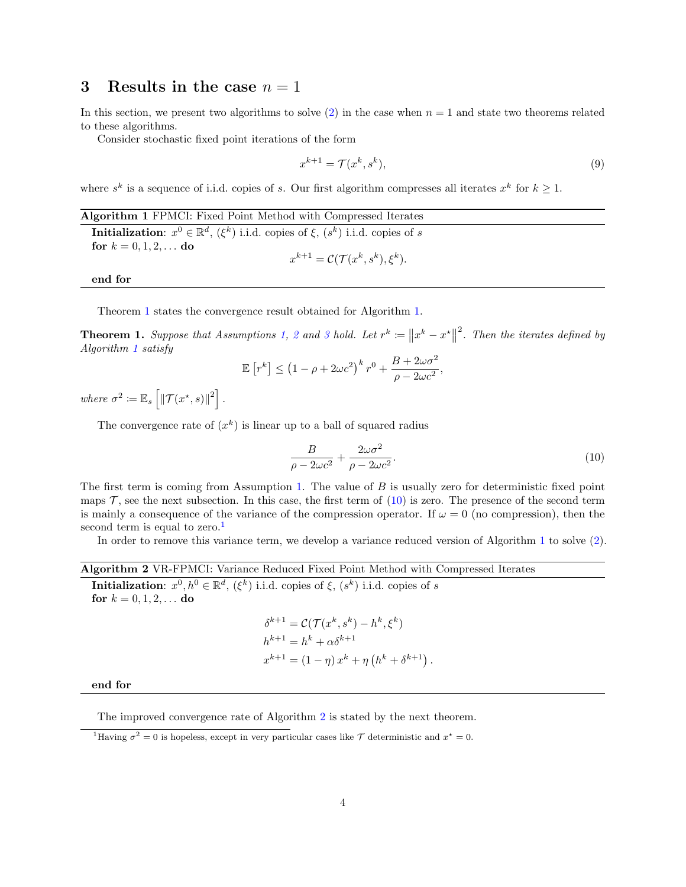### <span id="page-3-0"></span>3 Results in the case  $n = 1$

In this section, we present two algorithms to solve [\(2\)](#page-1-0) in the case when  $n = 1$  and state two theorems related to these algorithms.

Consider stochastic fixed point iterations of the form

$$
x^{k+1} = \mathcal{T}(x^k, s^k),\tag{9}
$$

where  $s^k$  is a sequence of i.i.d. copies of s. Our first algorithm compresses all iterates  $x^k$  for  $k \geq 1$ .

<span id="page-3-2"></span>Algorithm 1 FPMCI: Fixed Point Method with Compressed Iterates **Initialization**:  $x^0 \in \mathbb{R}^d$ ,  $(\xi^k)$  i.i.d. copies of  $\xi$ ,  $(s^k)$  i.i.d. copies of s for  $k = 0, 1, 2, ...$  do ).

$$
x^{k+1} = \mathcal{C}(\mathcal{T}(x^k, s^k), \xi^k)
$$

end for

Theorem [1](#page-3-1) states the convergence result obtained for Algorithm [1.](#page-3-2)

<span id="page-3-1"></span>**Theorem 1.** Suppose that Assumptions [1,](#page-2-1) [2](#page-2-2) and [3](#page-2-0) hold. Let  $r^k := ||x^k - x^*||$  $\alpha^2$ . Then the iterates defined by Algorithm [1](#page-3-2) satisfy

$$
\mathbb{E}\left[r^k\right] \le \left(1 - \rho + 2\omega c^2\right)^k r^0 + \frac{B + 2\omega\sigma^2}{\rho - 2\omega c^2},
$$

where  $\sigma^2 \coloneqq \mathbb{E}_s \left[ \|\mathcal{T}(x^*, s)\|^2 \right].$ 

The convergence rate of  $(x^k)$  is linear up to a ball of squared radius

<span id="page-3-3"></span>
$$
\frac{B}{\rho - 2\omega c^2} + \frac{2\omega\sigma^2}{\rho - 2\omega c^2}.\tag{10}
$$

The first term is coming from Assumption [1.](#page-2-1) The value of B is usually zero for deterministic fixed point maps  $\mathcal{T}$ , see the next subsection. In this case, the first term of  $(10)$  is zero. The presence of the second term is mainly a consequence of the variance of the compression operator. If  $\omega = 0$  (no compression), then the second term is equal to zero.<sup>[1](#page-3-4)</sup>

In order to remove this variance term, we develop a variance reduced version of Algorithm [1](#page-3-2) to solve [\(2\)](#page-1-0).

Algorithm 2 VR-FPMCI: Variance Reduced Fixed Point Method with Compressed Iterates **Initialization:**  $x^0, h^0 \in \mathbb{R}^d$ ,  $(\xi^k)$  i.i.d. copies of  $\xi$ ,  $(s^k)$  i.i.d. copies of s

<span id="page-3-5"></span>for  $k = 0, 1, 2, ...$  do

$$
\delta^{k+1} = \mathcal{C}(\mathcal{T}(x^k, s^k) - h^k, \xi^k)
$$
  
\n
$$
h^{k+1} = h^k + \alpha \delta^{k+1}
$$
  
\n
$$
x^{k+1} = (1 - \eta) x^k + \eta (h^k + \delta^{k+1}).
$$

end for

The improved convergence rate of Algorithm [2](#page-3-5) is stated by the next theorem.

<span id="page-3-4"></span><sup>1</sup>Having  $\sigma^2 = 0$  is hopeless, except in very particular cases like  $\mathcal T$  deterministic and  $x^* = 0$ .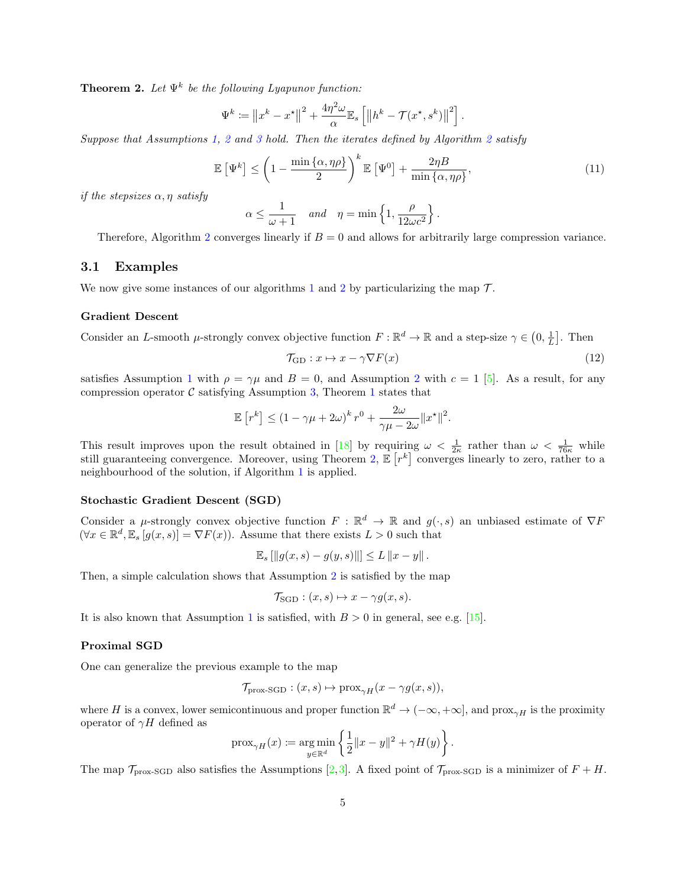<span id="page-4-0"></span>**Theorem 2.** Let  $\Psi^k$  be the following Lyapunov function:

$$
\Psi^k := \left\|x^k - x^\star\right\|^2 + \frac{4\eta^2\omega}{\alpha} \mathbb{E}_s \left[ \left\|h^k - \mathcal{T}(x^\star, s^k)\right\|^2 \right].
$$

Suppose that Assumptions [1,](#page-2-1) [2](#page-2-2) and [3](#page-2-0) hold. Then the iterates defined by Algorithm [2](#page-3-5) satisfy

$$
\mathbb{E}\left[\Psi^k\right] \le \left(1 - \frac{\min\left\{\alpha, \eta\rho\right\}}{2}\right)^k \mathbb{E}\left[\Psi^0\right] + \frac{2\eta B}{\min\left\{\alpha, \eta\rho\right\}},\tag{11}
$$

if the stepsizes  $\alpha$ ,  $\eta$  satisfy

$$
\alpha \le \frac{1}{\omega + 1} \quad \text{and} \quad \eta = \min \left\{ 1, \frac{\rho}{12\omega c^2} \right\}.
$$

Therefore, Algorithm [2](#page-3-5) converges linearly if  $B = 0$  and allows for arbitrarily large compression variance.

#### 3.1 Examples

We now give some instances of our algorithms [1](#page-3-2) and [2](#page-3-5) by particularizing the map  $\mathcal{T}$ .

#### Gradient Descent

Consider an L-smooth  $\mu$ -strongly convex objective function  $F : \mathbb{R}^d \to \mathbb{R}$  and a step-size  $\gamma \in (0, \frac{1}{L}]$ . Then

<span id="page-4-1"></span>
$$
\mathcal{T}_{\mathrm{GD}}: x \mapsto x - \gamma \nabla F(x) \tag{12}
$$

satisfies Assumption [1](#page-2-1) with  $\rho = \gamma \mu$  and  $B = 0$ , and Assumption [2](#page-2-2) with  $c = 1$  [\[5\]](#page-9-10). As a result, for any compression operator  $\mathcal C$  satisfying Assumption [3,](#page-2-0) Theorem [1](#page-3-1) states that

$$
\mathbb{E}\left[r^k\right] \le \left(1-\gamma\mu+2\omega\right)^k r^0 + \frac{2\omega}{\gamma\mu-2\omega} \|x^\star\|^2.
$$

This result improves upon the result obtained in [\[18\]](#page-9-3) by requiring  $\omega < \frac{1}{2\kappa}$  rather than  $\omega < \frac{1}{76\kappa}$  while still guaranteeing convergence. Moreover, using Theorem [2,](#page-4-0)  $\mathbb{E}[r^k]$  converges linearly to zero, rather to a neighbourhood of the solution, if Algorithm [1](#page-3-2) is applied.

#### Stochastic Gradient Descent (SGD)

Consider a  $\mu$ -strongly convex objective function  $F : \mathbb{R}^d \to \mathbb{R}$  and  $g(\cdot, s)$  an unbiased estimate of  $\nabla F$  $(\forall x \in \mathbb{R}^d, \mathbb{E}_s[g(x,s)] = \nabla F(x)$ . Assume that there exists  $L > 0$  such that

$$
\mathbb{E}_s [||g(x, s) - g(y, s)||] \leq L ||x - y||.
$$

Then, a simple calculation shows that Assumption [2](#page-2-2) is satisfied by the map

$$
\mathcal{T}_{\text{SGD}} : (x, s) \mapsto x - \gamma g(x, s).
$$

It is also known that Assumption [1](#page-2-1) is satisfied, with  $B > 0$  in general, see e.g. [\[15\]](#page-9-11).

#### Proximal SGD

One can generalize the previous example to the map

$$
\mathcal{T}_{\text{prox-SGD}} : (x, s) \mapsto \text{prox}_{\gamma H}(x - \gamma g(x, s)),
$$

where H is a convex, lower semicontinuous and proper function  $\mathbb{R}^d \to (-\infty, +\infty]$ , and  $\text{prox}_{\gamma H}$  is the proximity operator of  $\gamma H$  defined as

$$
\operatorname{prox}_{\gamma H}(x) \coloneqq \operatorname*{arg\,min}_{y \in \mathbb{R}^d} \left\{ \frac{1}{2} \|x - y\|^2 + \gamma H(y) \right\}.
$$

The map  $\mathcal{T}_{\text{prox-SGD}}$  also satisfies the Assumptions [\[2,](#page-9-12)[3\]](#page-9-13). A fixed point of  $\mathcal{T}_{\text{prox-SGD}}$  is a minimizer of  $F + H$ .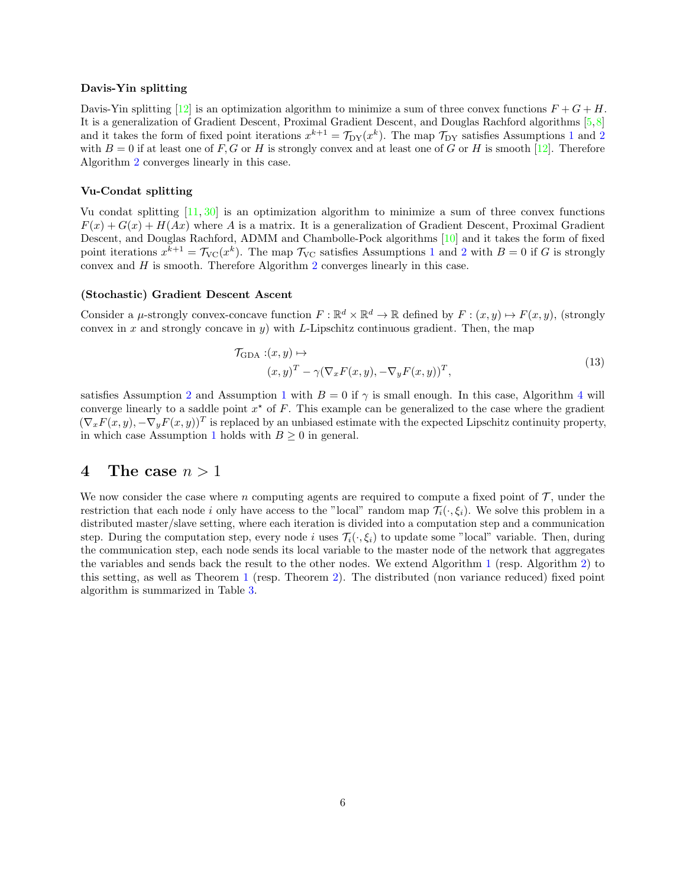#### Davis-Yin splitting

Davis-Yin splitting  $[12]$  is an optimization algorithm to minimize a sum of three convex functions  $F + G + H$ . It is a generalization of Gradient Descent, Proximal Gradient Descent, and Douglas Rachford algorithms [\[5,](#page-9-10)[8\]](#page-9-15) and it takes the form of fixed point iterations  $x^{k+1} = \mathcal{T}_{DY}(x^k)$  $x^{k+1} = \mathcal{T}_{DY}(x^k)$  $x^{k+1} = \mathcal{T}_{DY}(x^k)$ . The map  $\mathcal{T}_{DY}$  satisfies Assumptions 1 and [2](#page-2-2) with  $B = 0$  if at least one of F, G or H is strongly convex and at least one of G or H is smooth [\[12\]](#page-9-14). Therefore Algorithm [2](#page-3-5) converges linearly in this case.

#### Vu-Condat splitting

Vu condat splitting [\[11,](#page-9-16) [30\]](#page-10-14) is an optimization algorithm to minimize a sum of three convex functions  $F(x) + G(x) + H(Ax)$  where A is a matrix. It is a generalization of Gradient Descent, Proximal Gradient Descent, and Douglas Rachford, ADMM and Chambolle-Pock algorithms [\[10\]](#page-9-17) and it takes the form of fixed point iterations  $x^{k+1} = \mathcal{T}_{\text{VC}}(x^k)$  $x^{k+1} = \mathcal{T}_{\text{VC}}(x^k)$  $x^{k+1} = \mathcal{T}_{\text{VC}}(x^k)$ . The map  $\mathcal{T}_{\text{VC}}$  satisfies Assumptions 1 and [2](#page-2-2) with  $B = 0$  if G is strongly convex and  $H$  is smooth. Therefore Algorithm  $2$  converges linearly in this case.

#### (Stochastic) Gradient Descent Ascent

Consider a  $\mu$ -strongly convex-concave function  $F : \mathbb{R}^d \times \mathbb{R}^d \to \mathbb{R}$  defined by  $F : (x, y) \mapsto F(x, y)$ , (strongly convex in x and strongly concave in y) with L-Lipschitz continuous gradient. Then, the map

<span id="page-5-1"></span>
$$
\mathcal{T}_{\text{GDA}}:(x,y)\mapsto
$$
  
\n
$$
(x,y)^{T} - \gamma(\nabla_{x}F(x,y), -\nabla_{y}F(x,y))^{T},
$$
\n(13)

satisfies Assumption [2](#page-2-2) and Assumption [1](#page-2-1) with  $B = 0$  if  $\gamma$  is small enough. In this case, Algorithm [4](#page-6-0) will converge linearly to a saddle point  $x^*$  of F. This example can be generalized to the case where the gradient  $(\nabla_x F(x, y), -\nabla_y F(x, y))^T$  is replaced by an unbiased estimate with the expected Lipschitz continuity property, in which case Assumption [1](#page-2-1) holds with  $B \geq 0$  in general.

### <span id="page-5-0"></span>4 The case  $n > 1$

We now consider the case where n computing agents are required to compute a fixed point of  $\mathcal T$ , under the restriction that each node i only have access to the "local" random map  $\mathcal{T}_i(\cdot,\xi_i)$ . We solve this problem in a distributed master/slave setting, where each iteration is divided into a computation step and a communication step. During the computation step, every node i uses  $\mathcal{T}_i(\cdot,\xi_i)$  to update some "local" variable. Then, during the communication step, each node sends its local variable to the master node of the network that aggregates the variables and sends back the result to the other nodes. We extend Algorithm [1](#page-3-2) (resp. Algorithm [2\)](#page-3-5) to this setting, as well as Theorem [1](#page-3-1) (resp. Theorem [2\)](#page-4-0). The distributed (non variance reduced) fixed point algorithm is summarized in Table [3.](#page-6-1)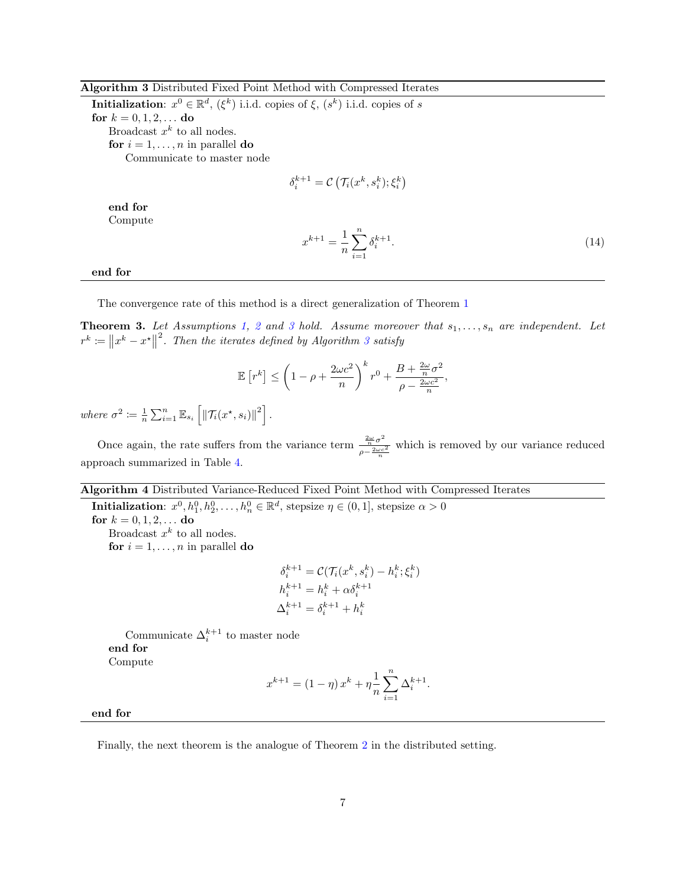#### Algorithm 3 Distributed Fixed Point Method with Compressed Iterates

**Initialization**:  $x^0 \in \mathbb{R}^d$ ,  $(\xi^k)$  i.i.d. copies of  $\xi$ ,  $(s^k)$  i.i.d. copies of s for  $k = 0, 1, 2, ...$  do Broadcast  $x^k$  to all nodes. for  $i = 1, \ldots, n$  in parallel do Communicate to master node

$$
\delta_i^{k+1} = \mathcal{C}\left(\mathcal{T}_i(x^k, s_i^k); \xi_i^k\right)
$$

end for

<span id="page-6-1"></span>Compute

$$
x^{k+1} = \frac{1}{n} \sum_{i=1}^{n} \delta_i^{k+1}.
$$
 (14)

end for

The convergence rate of this method is a direct generalization of Theorem [1](#page-3-1)

<span id="page-6-2"></span>**Theorem [3](#page-2-0).** Let Assumptions [1,](#page-2-1) [2](#page-2-2) and 3 hold. Assume moreover that  $s_1, \ldots, s_n$  are independent. Let  $r^k := ||x^k - x^*||$  $\alpha^2$ . Then the iterates defined by Algorithm [3](#page-6-1) satisfy

$$
\mathbb{E}\left[r^k\right] \le \left(1 - \rho + \frac{2\omega c^2}{n}\right)^k r^0 + \frac{B + \frac{2\omega}{n}\sigma^2}{\rho - \frac{2\omega c^2}{n}},
$$

where  $\sigma^2 \coloneqq \frac{1}{n} \sum_{i=1}^n \mathbb{E}_{s_i} \left[ \left\| \mathcal{T}_i(x^{\star}, s_i) \right\|^2 \right].$ 

Once again, the rate suffers from the variance term  $-\frac{2\omega\sigma^2}{2\omega c}$  $\frac{\overline{n}^{\sigma}}{\rho - \frac{2\omega c^2}{n}}$  which is removed by our variance reduced approach summarized in Table [4.](#page-6-0)

#### Algorithm 4 Distributed Variance-Reduced Fixed Point Method with Compressed Iterates

<span id="page-6-0"></span>**Initialization**:  $x^0, h_1^0, h_2^0, \ldots, h_n^0 \in \mathbb{R}^d$ , stepsize  $\eta \in (0, 1]$ , stepsize  $\alpha > 0$ for  $k = 0, 1, 2, ...$  do Broadcast  $x^k$  to all nodes.

for  $i = 1, \ldots, n$  in parallel do

$$
\delta_i^{k+1} = \mathcal{C}(\mathcal{T}_i(x^k, s_i^k) - h_i^k; \xi_i^k)
$$
  
\n
$$
h_i^{k+1} = h_i^k + \alpha \delta_i^{k+1}
$$
  
\n
$$
\Delta_i^{k+1} = \delta_i^{k+1} + h_i^k
$$

Communicate  $\Delta_i^{k+1}$  to master node end for Compute

$$
x^{k+1} = (1 - \eta) x^{k} + \eta \frac{1}{n} \sum_{i=1}^{n} \Delta_i^{k+1}.
$$

end for

Finally, the next theorem is the analogue of Theorem [2](#page-3-5) in the distributed setting.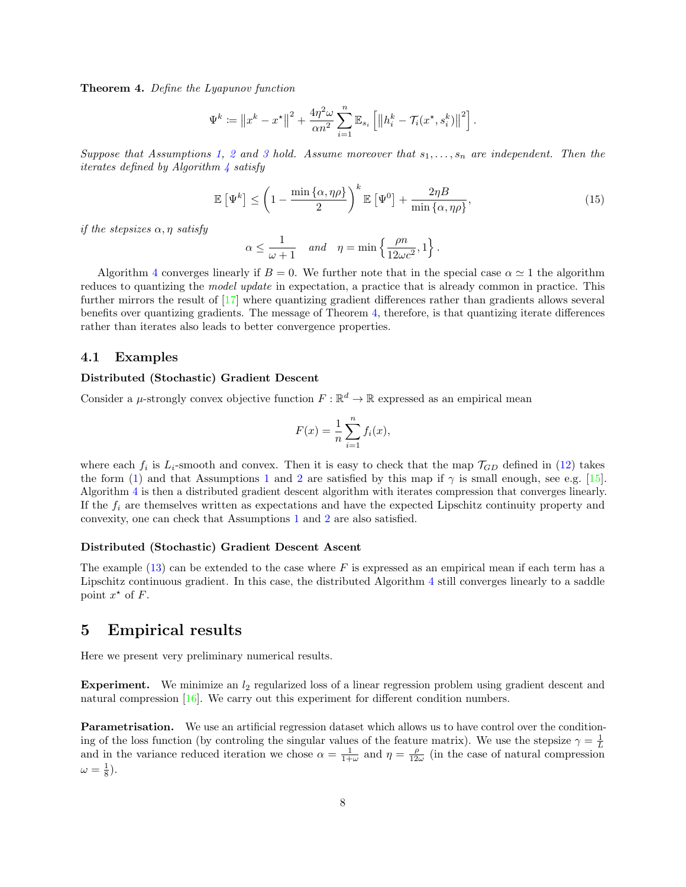<span id="page-7-1"></span>Theorem 4. Define the Lyapunov function

$$
\Psi^k := \left\|x^k - x^\star\right\|^2 + \frac{4\eta^2\omega}{\alpha n^2} \sum_{i=1}^n \mathbb{E}_{s_i} \left[ \left\|h_i^k - \mathcal{T}_i(x^\star, s_i^k)\right\|^2 \right].
$$

Suppose that Assumptions [1,](#page-2-1) [2](#page-2-2) and [3](#page-2-0) hold. Assume moreover that  $s_1, \ldots, s_n$  are independent. Then the iterates defined by Algorithm  $\frac{1}{4}$  $\frac{1}{4}$  $\frac{1}{4}$  satisfy

<span id="page-7-2"></span>
$$
\mathbb{E}\left[\Psi^k\right] \le \left(1 - \frac{\min\left\{\alpha, \eta\rho\right\}}{2}\right)^k \mathbb{E}\left[\Psi^0\right] + \frac{2\eta B}{\min\left\{\alpha, \eta\rho\right\}},\tag{15}
$$

if the stepsizes  $\alpha$ ,  $\eta$  satisfy

$$
\alpha \leq \frac{1}{\omega + 1} \quad \text{and} \quad \eta = \min \left\{ \frac{\rho n}{12\omega c^2}, 1 \right\}.
$$

Algorithm [4](#page-6-0) converges linearly if  $B = 0$ . We further note that in the special case  $\alpha \approx 1$  the algorithm reduces to quantizing the *model update* in expectation, a practice that is already common in practice. This further mirrors the result of [\[17\]](#page-9-5) where quantizing gradient differences rather than gradients allows several benefits over quantizing gradients. The message of Theorem [4,](#page-7-1) therefore, is that quantizing iterate differences rather than iterates also leads to better convergence properties.

#### 4.1 Examples

#### Distributed (Stochastic) Gradient Descent

Consider a  $\mu$ -strongly convex objective function  $F: \mathbb{R}^d \to \mathbb{R}$  expressed as an empirical mean

$$
F(x) = \frac{1}{n} \sum_{i=1}^{n} f_i(x),
$$

where each  $f_i$  is  $L_i$ -smooth and convex. Then it is easy to check that the map  $\mathcal{T}_{GD}$  defined in [\(12\)](#page-4-1) takes the form [\(1\)](#page-1-1) and that Assumptions [1](#page-2-1) and [2](#page-2-2) are satisfied by this map if  $\gamma$  is small enough, see e.g. [\[15\]](#page-9-11). Algorithm [4](#page-6-0) is then a distributed gradient descent algorithm with iterates compression that converges linearly. If the  $f_i$  are themselves written as expectations and have the expected Lipschitz continuity property and convexity, one can check that Assumptions [1](#page-2-1) and [2](#page-2-2) are also satisfied.

#### Distributed (Stochastic) Gradient Descent Ascent

The example  $(13)$  can be extended to the case where F is expressed as an empirical mean if each term has a Lipschitz continuous gradient. In this case, the distributed Algorithm [4](#page-6-0) still converges linearly to a saddle point  $x^*$  of F.

## <span id="page-7-0"></span>5 Empirical results

Here we present very preliminary numerical results.

**Experiment.** We minimize an  $l_2$  regularized loss of a linear regression problem using gradient descent and natural compression [\[16\]](#page-9-9). We carry out this experiment for different condition numbers.

Parametrisation. We use an artificial regression dataset which allows us to have control over the conditioning of the loss function (by controling the singular values of the feature matrix). We use the stepsize  $\gamma = \frac{1}{L}$ and in the variance reduced iteration we chose  $\alpha = \frac{1}{1+\omega}$  and  $\eta = \frac{\rho}{12\omega}$  (in the case of natural compression  $\omega = \frac{1}{8}$ ).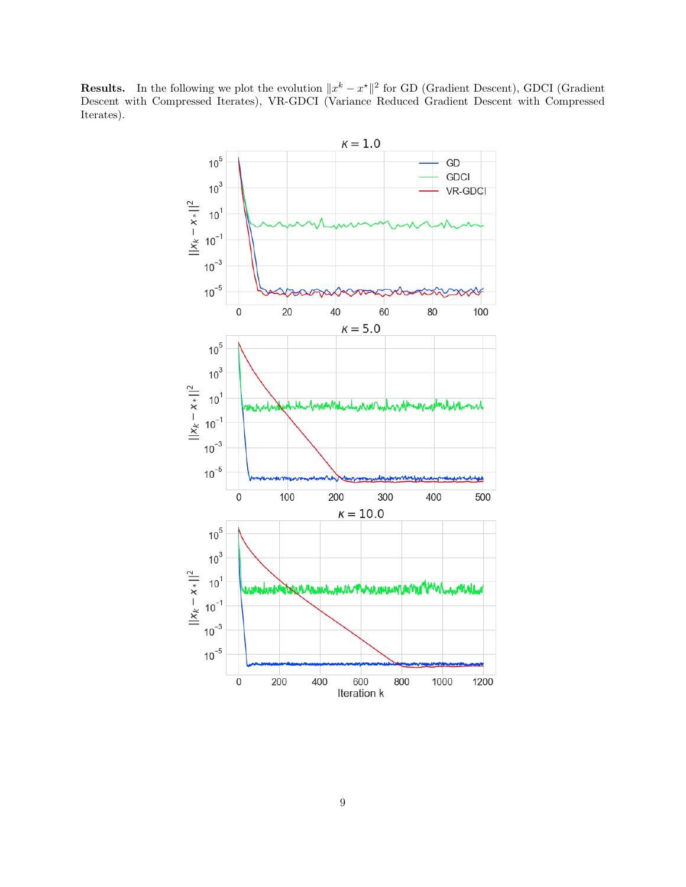**Results.** In the following we plot the evolution  $||x^k - x^*||^2$  for GD (Gradient Descent), GDCI (Gradient Descent with Compressed Iterates), VR-GDCI (Variance Reduced Gradient Descent with Compressed Iterates).

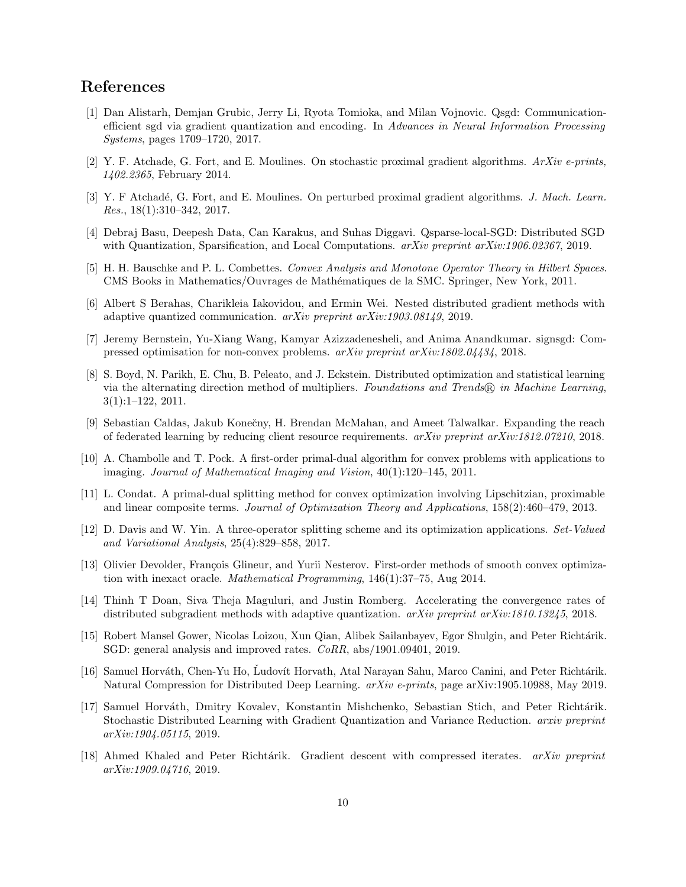## References

- <span id="page-9-1"></span>[1] Dan Alistarh, Demjan Grubic, Jerry Li, Ryota Tomioka, and Milan Vojnovic. Qsgd: Communicationefficient sgd via gradient quantization and encoding. In Advances in Neural Information Processing Systems, pages 1709–1720, 2017.
- <span id="page-9-12"></span>[2] Y. F. Atchade, G. Fort, and E. Moulines. On stochastic proximal gradient algorithms. ArXiv e-prints, 1402.2365, February 2014.
- <span id="page-9-13"></span>[3] Y. F Atchadé, G. Fort, and E. Moulines. On perturbed proximal gradient algorithms. J. Mach. Learn. Res., 18(1):310–342, 2017.
- <span id="page-9-4"></span>[4] Debraj Basu, Deepesh Data, Can Karakus, and Suhas Diggavi. Qsparse-local-SGD: Distributed SGD with Quantization, Sparsification, and Local Computations.  $arXiv$  preprint  $arXiv:1906.02367$ , 2019.
- <span id="page-9-10"></span>[5] H. H. Bauschke and P. L. Combettes. Convex Analysis and Monotone Operator Theory in Hilbert Spaces. CMS Books in Mathematics/Ouvrages de Math´ematiques de la SMC. Springer, New York, 2011.
- <span id="page-9-6"></span>[6] Albert S Berahas, Charikleia Iakovidou, and Ermin Wei. Nested distributed gradient methods with adaptive quantized communication. arXiv preprint arXiv:1903.08149, 2019.
- <span id="page-9-2"></span>[7] Jeremy Bernstein, Yu-Xiang Wang, Kamyar Azizzadenesheli, and Anima Anandkumar. signsgd: Compressed optimisation for non-convex problems. arXiv preprint arXiv:1802.04434, 2018.
- <span id="page-9-15"></span>[8] S. Boyd, N. Parikh, E. Chu, B. Peleato, and J. Eckstein. Distributed optimization and statistical learning via the alternating direction method of multipliers. Foundations and Trends® in Machine Learning, 3(1):1–122, 2011.
- <span id="page-9-0"></span>[9] Sebastian Caldas, Jakub Konečny, H. Brendan McMahan, and Ameet Talwalkar. Expanding the reach of federated learning by reducing client resource requirements. arXiv preprint arXiv:1812.07210, 2018.
- <span id="page-9-17"></span>[10] A. Chambolle and T. Pock. A first-order primal-dual algorithm for convex problems with applications to imaging. Journal of Mathematical Imaging and Vision, 40(1):120–145, 2011.
- <span id="page-9-16"></span>[11] L. Condat. A primal-dual splitting method for convex optimization involving Lipschitzian, proximable and linear composite terms. Journal of Optimization Theory and Applications, 158(2):460–479, 2013.
- <span id="page-9-14"></span>[12] D. Davis and W. Yin. A three-operator splitting scheme and its optimization applications. Set-Valued and Variational Analysis, 25(4):829–858, 2017.
- <span id="page-9-8"></span>[13] Olivier Devolder, François Glineur, and Yurii Nesterov. First-order methods of smooth convex optimization with inexact oracle. Mathematical Programming, 146(1):37–75, Aug 2014.
- <span id="page-9-7"></span>[14] Thinh T Doan, Siva Theja Maguluri, and Justin Romberg. Accelerating the convergence rates of distributed subgradient methods with adaptive quantization. *arXiv preprint arXiv:1810.13245*, 2018.
- <span id="page-9-11"></span>[15] Robert Mansel Gower, Nicolas Loizou, Xun Qian, Alibek Sailanbayev, Egor Shulgin, and Peter Richtárik. SGD: general analysis and improved rates. CoRR, abs/1901.09401, 2019.
- <span id="page-9-9"></span>[16] Samuel Horváth, Chen-Yu Ho, Ludovít Horvath, Atal Narayan Sahu, Marco Canini, and Peter Richtárik. Natural Compression for Distributed Deep Learning. arXiv e-prints, page arXiv:1905.10988, May 2019.
- <span id="page-9-5"></span>[17] Samuel Horváth, Dmitry Kovalev, Konstantin Mishchenko, Sebastian Stich, and Peter Richtárik. Stochastic Distributed Learning with Gradient Quantization and Variance Reduction. arxiv preprint arXiv:1904.05115, 2019.
- <span id="page-9-3"></span>[18] Ahmed Khaled and Peter Richtárik. Gradient descent with compressed iterates. arXiv preprint arXiv:1909.04716, 2019.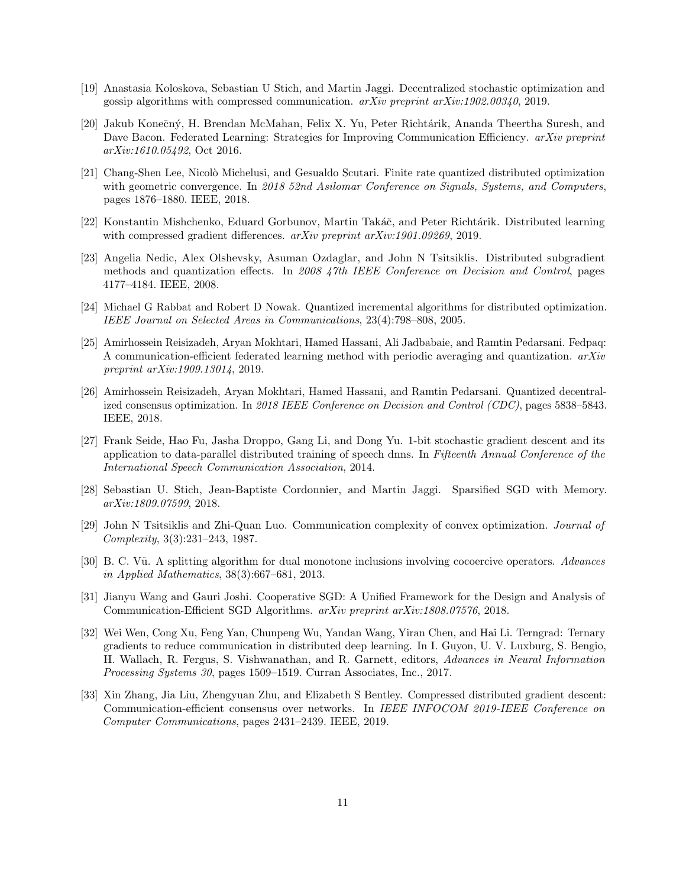- <span id="page-10-9"></span>[19] Anastasia Koloskova, Sebastian U Stich, and Martin Jaggi. Decentralized stochastic optimization and gossip algorithms with compressed communication.  $arXiv$  preprint  $arXiv:1902.00340$ , 2019.
- <span id="page-10-0"></span>[20] Jakub Konečný, H. Brendan McMahan, Felix X. Yu, Peter Richtárik, Ananda Theertha Suresh, and Dave Bacon. Federated Learning: Strategies for Improving Communication Efficiency. *arXiv preprint* arXiv:1610.05492, Oct 2016.
- <span id="page-10-10"></span>[21] Chang-Shen Lee, Nicolò Michelusi, and Gesualdo Scutari. Finite rate quantized distributed optimization with geometric convergence. In 2018 52nd Asilomar Conference on Signals, Systems, and Computers, pages 1876–1880. IEEE, 2018.
- <span id="page-10-6"></span>[22] Konstantin Mishchenko, Eduard Gorbunov, Martin Takáč, and Peter Richtárik. Distributed learning with compressed gradient differences.  $arXiv$  preprint  $arXiv:1901.09269$ , 2019.
- <span id="page-10-7"></span>[23] Angelia Nedic, Alex Olshevsky, Asuman Ozdaglar, and John N Tsitsiklis. Distributed subgradient methods and quantization effects. In 2008 47th IEEE Conference on Decision and Control, pages 4177–4184. IEEE, 2008.
- <span id="page-10-8"></span>[24] Michael G Rabbat and Robert D Nowak. Quantized incremental algorithms for distributed optimization. IEEE Journal on Selected Areas in Communications, 23(4):798–808, 2005.
- <span id="page-10-5"></span>[25] Amirhossein Reisizadeh, Aryan Mokhtari, Hamed Hassani, Ali Jadbabaie, and Ramtin Pedarsani. Fedpaq: A communication-efficient federated learning method with periodic averaging and quantization.  $arXiv$ preprint arXiv:1909.13014, 2019.
- <span id="page-10-11"></span>[26] Amirhossein Reisizadeh, Aryan Mokhtari, Hamed Hassani, and Ramtin Pedarsani. Quantized decentralized consensus optimization. In 2018 IEEE Conference on Decision and Control (CDC), pages 5838–5843. IEEE, 2018.
- <span id="page-10-4"></span>[27] Frank Seide, Hao Fu, Jasha Droppo, Gang Li, and Dong Yu. 1-bit stochastic gradient descent and its application to data-parallel distributed training of speech dnns. In Fifteenth Annual Conference of the International Speech Communication Association, 2014.
- <span id="page-10-13"></span>[28] Sebastian U. Stich, Jean-Baptiste Cordonnier, and Martin Jaggi. Sparsified SGD with Memory. arXiv:1809.07599, 2018.
- <span id="page-10-3"></span>[29] John N Tsitsiklis and Zhi-Quan Luo. Communication complexity of convex optimization. Journal of Complexity, 3(3):231–243, 1987.
- <span id="page-10-14"></span>[30] B. C. Vũ. A splitting algorithm for dual monotone inclusions involving cocoercive operators. Advances in Applied Mathematics, 38(3):667–681, 2013.
- <span id="page-10-2"></span>[31] Jianyu Wang and Gauri Joshi. Cooperative SGD: A Unified Framework for the Design and Analysis of Communication-Efficient SGD Algorithms. arXiv preprint arXiv:1808.07576, 2018.
- <span id="page-10-1"></span>[32] Wei Wen, Cong Xu, Feng Yan, Chunpeng Wu, Yandan Wang, Yiran Chen, and Hai Li. Terngrad: Ternary gradients to reduce communication in distributed deep learning. In I. Guyon, U. V. Luxburg, S. Bengio, H. Wallach, R. Fergus, S. Vishwanathan, and R. Garnett, editors, Advances in Neural Information Processing Systems 30, pages 1509–1519. Curran Associates, Inc., 2017.
- <span id="page-10-12"></span>[33] Xin Zhang, Jia Liu, Zhengyuan Zhu, and Elizabeth S Bentley. Compressed distributed gradient descent: Communication-efficient consensus over networks. In IEEE INFOCOM 2019-IEEE Conference on Computer Communications, pages 2431–2439. IEEE, 2019.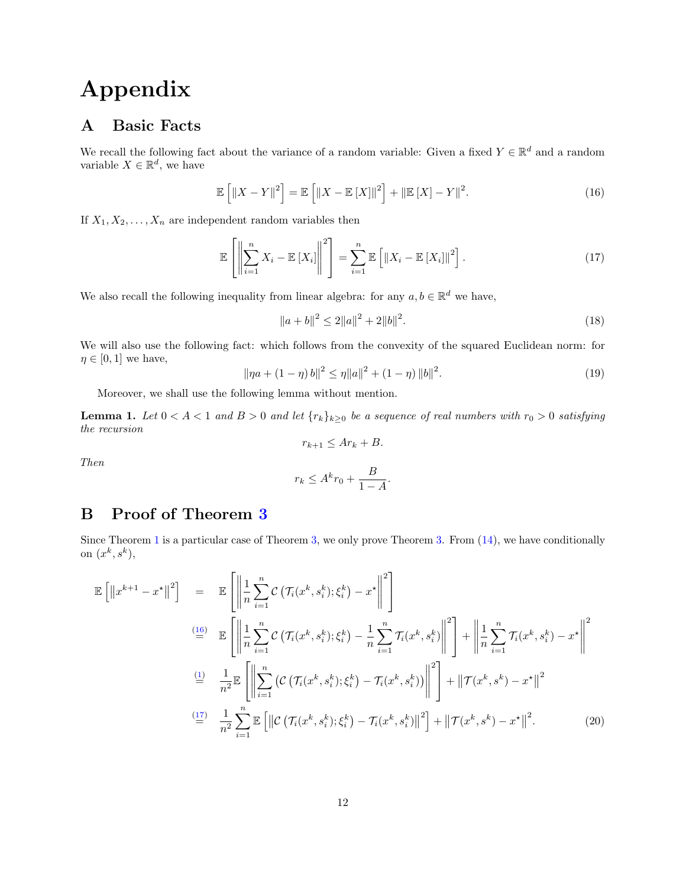# Appendix

## A Basic Facts

We recall the following fact about the variance of a random variable: Given a fixed  $Y \in \mathbb{R}^d$  and a random variable  $X \in \mathbb{R}^d$ , we have

<span id="page-11-0"></span>
$$
\mathbb{E}\left[\left\|X-Y\right\|^2\right] = \mathbb{E}\left[\left\|X-\mathbb{E}\left[X\right]\right\|^2\right] + \left\|\mathbb{E}\left[X\right]-Y\right\|^2. \tag{16}
$$

If  $X_1, X_2, \ldots, X_n$  are independent random variables then

$$
\mathbb{E}\left[\left\|\sum_{i=1}^{n}X_{i}-\mathbb{E}\left[X_{i}\right]\right\|^{2}\right]=\sum_{i=1}^{n}\mathbb{E}\left[\left\|X_{i}-\mathbb{E}\left[X_{i}\right]\right\|^{2}\right].
$$
\n(17)

We also recall the following inequality from linear algebra: for any  $a, b \in \mathbb{R}^d$  we have,

<span id="page-11-3"></span><span id="page-11-1"></span>
$$
||a+b||^2 \le 2||a||^2 + 2||b||^2. \tag{18}
$$

We will also use the following fact: which follows from the convexity of the squared Euclidean norm: for  $\eta \in [0, 1]$  we have,  $\overline{2}$ 

<span id="page-11-4"></span>
$$
\|\eta a + (1 - \eta) b\|^2 \le \eta \|a\|^2 + (1 - \eta) \|b\|^2. \tag{19}
$$

Moreover, we shall use the following lemma without mention.

**Lemma 1.** Let  $0 < A < 1$  and  $B > 0$  and let  $\{r_k\}_{k\geq 0}$  be a sequence of real numbers with  $r_0 > 0$  satisfying the recursion

$$
r_{k+1} \leq Ar_k + B.
$$
  

$$
r_k \leq A^k r_0 + \frac{B}{1 - A}.
$$

# B Proof of Theorem [3](#page-6-2)

Then

Since Theorem [1](#page-3-1) is a particular case of Theorem [3,](#page-6-2) we only prove Theorem [3.](#page-6-2) From  $(14)$ , we have conditionally on  $(x^k, s^k)$ ,

<span id="page-11-2"></span>
$$
\mathbb{E}\left[\left\|x^{k+1} - x^{\star}\right\|^{2}\right] = \mathbb{E}\left[\left\|\frac{1}{n}\sum_{i=1}^{n} C\left(\mathcal{T}_{i}(x^{k}, s_{i}^{k}); \xi_{i}^{k}\right) - x^{\star}\right\|^{2}\right]
$$
\n
$$
\stackrel{\text{(16)}}{=} \mathbb{E}\left[\left\|\frac{1}{n}\sum_{i=1}^{n} C\left(\mathcal{T}_{i}(x^{k}, s_{i}^{k}); \xi_{i}^{k}\right) - \frac{1}{n}\sum_{i=1}^{n} \mathcal{T}_{i}(x^{k}, s_{i}^{k})\right\|^{2}\right] + \left\|\frac{1}{n}\sum_{i=1}^{n} \mathcal{T}_{i}(x^{k}, s_{i}^{k}) - x^{\star}\right\|^{2}
$$
\n
$$
\stackrel{\text{(1)}}{=} \frac{1}{n^{2}} \mathbb{E}\left[\left\|\sum_{i=1}^{n} \left(C\left(\mathcal{T}_{i}(x^{k}, s_{i}^{k}); \xi_{i}^{k}\right) - \mathcal{T}_{i}(x^{k}, s_{i}^{k})\right)\right\|^{2}\right] + \left\|\mathcal{T}(x^{k}, s^{k}) - x^{\star}\right\|^{2}
$$
\n
$$
\stackrel{\text{(17)}}{=} \frac{1}{n^{2}} \sum_{i=1}^{n} \mathbb{E}\left[\left\|C\left(\mathcal{T}_{i}(x^{k}, s_{i}^{k}); \xi_{i}^{k}\right) - \mathcal{T}_{i}(x^{k}, s_{i}^{k})\right\|^{2}\right] + \left\|\mathcal{T}(x^{k}, s^{k}) - x^{\star}\right\|^{2}.\tag{20}
$$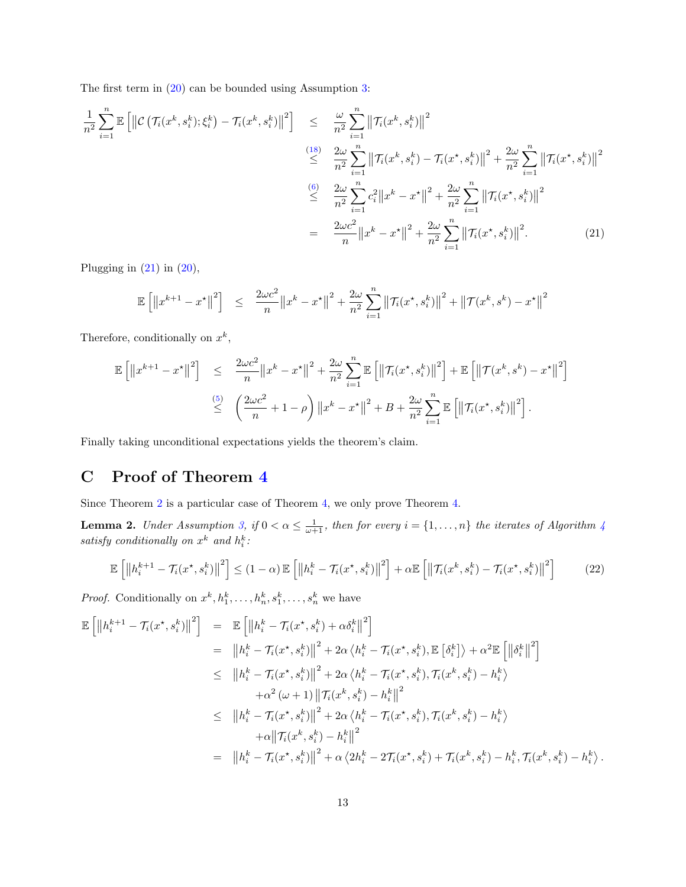The first term in [\(20\)](#page-11-2) can be bounded using Assumption [3:](#page-2-0)

<span id="page-12-0"></span>
$$
\frac{1}{n^{2}} \sum_{i=1}^{n} \mathbb{E} \left[ \left\| \mathcal{C} \left( \mathcal{T}_{i}(x^{k}, s_{i}^{k}); \xi_{i}^{k} \right) - \mathcal{T}_{i}(x^{k}, s_{i}^{k}) \right\|^{2} \right] \leq \frac{\omega}{n^{2}} \sum_{i=1}^{n} \left\| \mathcal{T}_{i}(x^{k}, s_{i}^{k}) \right\|^{2}
$$
\n
$$
\leq \frac{2\omega}{n^{2}} \sum_{i=1}^{n} \left\| \mathcal{T}_{i}(x^{k}, s_{i}^{k}) - \mathcal{T}_{i}(x^{k}, s_{i}^{k}) \right\|^{2} + \frac{2\omega}{n^{2}} \sum_{i=1}^{n} \left\| \mathcal{T}_{i}(x^{k}, s_{i}^{k}) \right\|^{2}
$$
\n
$$
\leq \frac{2\omega}{n^{2}} \sum_{i=1}^{n} c_{i}^{2} \left\| x^{k} - x^{k} \right\|^{2} + \frac{2\omega}{n^{2}} \sum_{i=1}^{n} \left\| \mathcal{T}_{i}(x^{k}, s_{i}^{k}) \right\|^{2}
$$
\n
$$
= \frac{2\omega c^{2}}{n} \left\| x^{k} - x^{k} \right\|^{2} + \frac{2\omega}{n^{2}} \sum_{i=1}^{n} \left\| \mathcal{T}_{i}(x^{k}, s_{i}^{k}) \right\|^{2}.
$$
\n
$$
(21)
$$

Plugging in  $(21)$  in  $(20)$ ,

$$
\mathbb{E}\left[\left\|x^{k+1}-x^{\star}\right\|^2\right] \leq \frac{2\omega c^2}{n} \|x^k-x^{\star}\|^2 + \frac{2\omega}{n^2} \sum_{i=1}^n \left\|\mathcal{T}_i(x^{\star}, s_i^k)\right\|^2 + \left\|\mathcal{T}(x^k, s^k) - x^{\star}\right\|^2
$$

Therefore, conditionally on  $x^k$ ,

$$
\mathbb{E}\left[\left\|x^{k+1}-x^{\star}\right\|^2\right] \leq \frac{2\omega c^2}{n} \left\|x^k-x^{\star}\right\|^2 + \frac{2\omega}{n^2} \sum_{i=1}^n \mathbb{E}\left[\left\|\mathcal{T}_i(x^{\star},s_i^k)\right\|^2\right] + \mathbb{E}\left[\left\|\mathcal{T}(x^k,s^k)-x^{\star}\right\|^2\right]
$$
  

$$
\leq \left(\frac{2\omega c^2}{n}+1-\rho\right) \left\|x^k-x^{\star}\right\|^2 + B + \frac{2\omega}{n^2} \sum_{i=1}^n \mathbb{E}\left[\left\|\mathcal{T}_i(x^{\star},s_i^k)\right\|^2\right].
$$

Finally taking unconditional expectations yields the theorem's claim.

# C Proof of Theorem [4](#page-7-1)

Since Theorem [2](#page-4-0) is a particular case of Theorem [4,](#page-7-1) we only prove Theorem [4.](#page-7-1)

<span id="page-12-1"></span>**Lemma 2.** Under Assumption [3,](#page-2-0) if  $0 < \alpha \leq \frac{1}{\omega+1}$ , then for every  $i = \{1, \ldots, n\}$  the iterates of Algorithm [4](#page-6-0) satisfy conditionally on  $x^k$  and  $h_i^k$ :

<span id="page-12-2"></span>
$$
\mathbb{E}\left[\left\|h_{i}^{k+1} - \mathcal{T}_{i}(x^{\star}, s_{i}^{k})\right\|^{2}\right] \leq (1-\alpha)\mathbb{E}\left[\left\|h_{i}^{k} - \mathcal{T}_{i}(x^{\star}, s_{i}^{k})\right\|^{2}\right] + \alpha\mathbb{E}\left[\left\|\mathcal{T}_{i}(x^{k}, s_{i}^{k}) - \mathcal{T}_{i}(x^{\star}, s_{i}^{k})\right\|^{2}\right] \tag{22}
$$

*Proof.* Conditionally on  $x^k, h_1^k, \ldots, h_n^k, s_1^k, \ldots, s_n^k$  we have

$$
\mathbb{E}\left[\left\|h_{i}^{k+1}-\mathcal{T}_{i}(x^{\star},s_{i}^{k})\right\|^{2}\right] = \mathbb{E}\left[\left\|h_{i}^{k}-\mathcal{T}_{i}(x^{\star},s_{i}^{k})+\alpha\delta_{i}^{k}\right\|^{2}\right] \n= \left\|h_{i}^{k}-\mathcal{T}_{i}(x^{\star},s_{i}^{k})\right\|^{2}+2\alpha\left\langle h_{i}^{k}-\mathcal{T}_{i}(x^{\star},s_{i}^{k}),\mathbb{E}\left[\delta_{i}^{k}\right]\right\rangle+\alpha^{2}\mathbb{E}\left[\left\|\delta_{i}^{k}\right\|^{2}\right] \n\leq \left\|h_{i}^{k}-\mathcal{T}_{i}(x^{\star},s_{i}^{k})\right\|^{2}+2\alpha\left\langle h_{i}^{k}-\mathcal{T}_{i}(x^{\star},s_{i}^{k}),\mathcal{T}_{i}(x^{k},s_{i}^{k})-h_{i}^{k}\right\rangle \n+\alpha^{2}(\omega+1)\left\|\mathcal{T}_{i}(x^{k},s_{i}^{k})-h_{i}^{k}\right\|^{2} \n\leq \left\|h_{i}^{k}-\mathcal{T}_{i}(x^{\star},s_{i}^{k})\right\|^{2}+2\alpha\left\langle h_{i}^{k}-\mathcal{T}_{i}(x^{\star},s_{i}^{k}),\mathcal{T}_{i}(x^{k},s_{i}^{k})-h_{i}^{k}\right\rangle \n+\alpha\left\|\mathcal{T}_{i}(x^{k},s_{i}^{k})-h_{i}^{k}\right\|^{2} \n= \left\|h_{i}^{k}-\mathcal{T}_{i}(x^{\star},s_{i}^{k})\right\|^{2}+\alpha\left\langle 2h_{i}^{k}-2\mathcal{T}_{i}(x^{\star},s_{i}^{k})+\mathcal{T}_{i}(x^{k},s_{i}^{k})-h_{i}^{k},\mathcal{T}_{i}(x^{k},s_{i}^{k})-h_{i}^{k}\right\rangle.
$$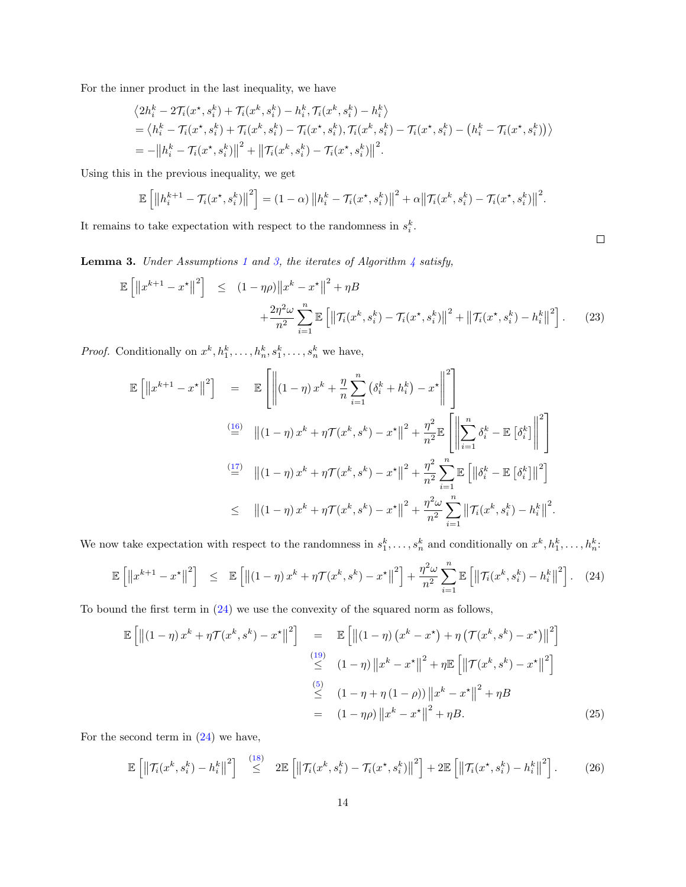For the inner product in the last inequality, we have

$$
\langle 2h_i^k - 2\mathcal{T}_i(x^*, s_i^k) + \mathcal{T}_i(x^k, s_i^k) - h_i^k, \mathcal{T}_i(x^k, s_i^k) - h_i^k \rangle
$$
  
=  $\langle h_i^k - \mathcal{T}_i(x^*, s_i^k) + \mathcal{T}_i(x^k, s_i^k) - \mathcal{T}_i(x^*, s_i^k), \mathcal{T}_i(x^k, s_i^k) - \mathcal{T}_i(x^*, s_i^k) - (h_i^k - \mathcal{T}_i(x^*, s_i^k)) \rangle$   
=  $-\left\|h_i^k - \mathcal{T}_i(x^*, s_i^k)\right\|^2 + \left\|\mathcal{T}_i(x^k, s_i^k) - \mathcal{T}_i(x^*, s_i^k)\right\|^2.$ 

Using this in the previous inequality, we get

$$
\mathbb{E}\left[\left\|h_i^{k+1} - \mathcal{T}_i(x^\star, s_i^k)\right\|^2\right] = (1-\alpha)\left\|h_i^k - \mathcal{T}_i(x^\star, s_i^k)\right\|^2 + \alpha\left\|\mathcal{T}_i(x^k, s_i^k) - \mathcal{T}_i(x^\star, s_i^k)\right\|^2.
$$

It remains to take expectation with respect to the randomness in  $s_i^k$ .

<span id="page-13-3"></span>**Lemma 3.** Under Assumptions [1](#page-2-1) and [3,](#page-2-0) the iterates of Algorithm  $\frac{1}{4}$  $\frac{1}{4}$  $\frac{1}{4}$  satisfy,

<span id="page-13-4"></span>
$$
\mathbb{E}\left[\left\|x^{k+1} - x^{\star}\right\|^2\right] \leq (1 - \eta\rho)\left\|x^k - x^{\star}\right\|^2 + \eta B + \frac{2\eta^2\omega}{n^2}\sum_{i=1}^n \mathbb{E}\left[\left\|\mathcal{T}_i(x^k, s_i^k) - \mathcal{T}_i(x^{\star}, s_i^k)\right\|^2 + \left\|\mathcal{T}_i(x^{\star}, s_i^k) - h_i^k\right\|^2\right].
$$
 (23)

 $\Box$ 

*Proof.* Conditionally on  $x^k, h_1^k, \ldots, h_n^k, s_1^k, \ldots, s_n^k$  we have,

<span id="page-13-0"></span>
$$
\mathbb{E}\left[\left\|x^{k+1}-x^{\star}\right\|^{2}\right] = \mathbb{E}\left[\left\|\left(1-\eta\right)x^{k}+\frac{\eta}{n}\sum_{i=1}^{n}\left(\delta_{i}^{k}+h_{i}^{k}\right)-x^{\star}\right\|^{2}\right]
$$
\n
$$
\stackrel{\text{(16)}}{=} \left\|\left(1-\eta\right)x^{k}+\eta\mathcal{T}(x^{k},s^{k})-x^{\star}\right\|^{2}+\frac{\eta^{2}}{n^{2}}\mathbb{E}\left[\left\|\sum_{i=1}^{n}\delta_{i}^{k}-\mathbb{E}\left[\delta_{i}^{k}\right]\right\|^{2}\right]
$$
\n
$$
\stackrel{\text{(17)}}{=} \left\|\left(1-\eta\right)x^{k}+\eta\mathcal{T}(x^{k},s^{k})-x^{\star}\right\|^{2}+\frac{\eta^{2}}{n^{2}}\sum_{i=1}^{n}\mathbb{E}\left[\left\|\delta_{i}^{k}-\mathbb{E}\left[\delta_{i}^{k}\right]\right\|^{2}\right]
$$
\n
$$
\leq \left\|\left(1-\eta\right)x^{k}+\eta\mathcal{T}(x^{k},s^{k})-x^{\star}\right\|^{2}+\frac{\eta^{2}\omega}{n^{2}}\sum_{i=1}^{n}\left\|\mathcal{T}_{i}(x^{k},s_{i}^{k})-h_{i}^{k}\right\|^{2}.
$$

We now take expectation with respect to the randomness in  $s_1^k, \ldots, s_n^k$  and conditionally on  $x^k, h_1^k, \ldots, h_n^k$ .

$$
\mathbb{E}\left[\left\|x^{k+1}-x^{\star}\right\|^2\right] \leq \mathbb{E}\left[\left\|(1-\eta)x^k+\eta\mathcal{T}(x^k,s^k)-x^{\star}\right\|^2\right]+\frac{\eta^2\omega}{n^2}\sum_{i=1}^n\mathbb{E}\left[\left\|\mathcal{T}_i(x^k,s_i^k)-h_i^k\right\|^2\right].
$$
 (24)

To bound the first term in [\(24\)](#page-13-0) we use the convexity of the squared norm as follows,

<span id="page-13-1"></span>
$$
\mathbb{E}\left[\left\|\left(1-\eta\right)x^{k}+\eta\mathcal{T}(x^{k},s^{k})-x^{\star}\right\|^{2}\right] = \mathbb{E}\left[\left\|\left(1-\eta\right)\left(x^{k}-x^{\star}\right)+\eta\left(\mathcal{T}(x^{k},s^{k})-x^{\star}\right)\right\|^{2}\right]
$$
\n
$$
\stackrel{\text{(19)}}{\leq} \left(1-\eta\right)\left\|x^{k}-x^{\star}\right\|^{2}+\eta\mathbb{E}\left[\left\|\mathcal{T}(x^{k},s^{k})-x^{\star}\right\|^{2}\right]
$$
\n
$$
\stackrel{\text{(5)}}{\leq} \left(1-\eta+\eta\left(1-\rho\right)\right)\left\|x^{k}-x^{\star}\right\|^{2}+\eta B
$$
\n
$$
= \left(1-\eta\rho\right)\left\|x^{k}-x^{\star}\right\|^{2}+\eta B. \tag{25}
$$

For the second term in  $(24)$  we have,

<span id="page-13-2"></span>
$$
\mathbb{E}\left[\left\|\mathcal{T}_i(x^k, s_i^k) - h_i^k\right\|^2\right] \stackrel{(18)}{\leq} 2\mathbb{E}\left[\left\|\mathcal{T}_i(x^k, s_i^k) - \mathcal{T}_i(x^{\star}, s_i^k)\right\|^2\right] + 2\mathbb{E}\left[\left\|\mathcal{T}_i(x^{\star}, s_i^k) - h_i^k\right\|^2\right].
$$
 (26)